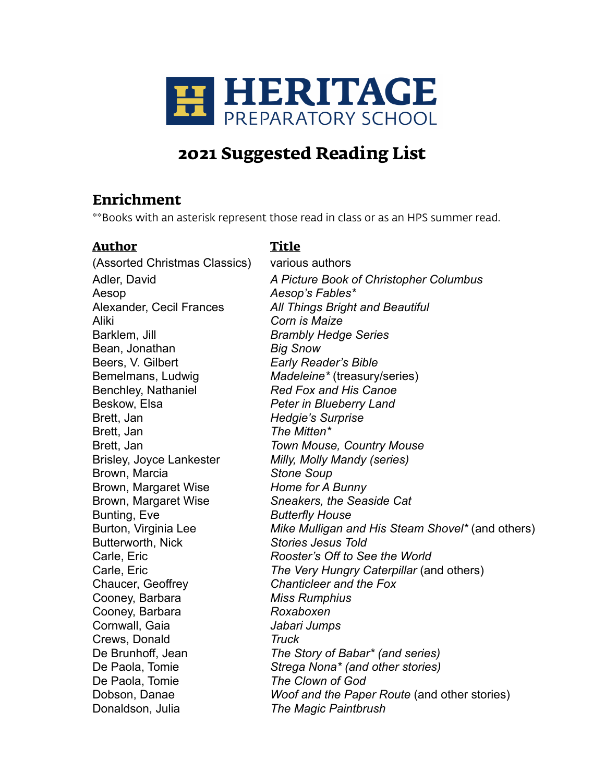

# **2021 Suggested Reading List**

## **Enrichment**

\*\*Books with an asterisk represent those read in class or as an HPS summer read.

## **Author Title**

(Assorted Christmas Classics) various authors Aesop *Aesop's Fables\** Aliki *Corn is Maize* Barklem, Jill *Brambly Hedge Series* Bean, Jonathan *Big Snow* Beers, V. Gilbert *Early Reader's Bible* Benchley, Nathaniel *Red Fox and His Canoe* Beskow, Elsa *Peter in Blueberry Land* Brett, Jan *Hedgie's Surprise* Brett, Jan *The Mitten\** Brisley, Joyce Lankester *Milly, Molly Mandy (series)* Brown, Marcia *Stone Soup* Brown, Margaret Wise *Home for A Bunny* Brown, Margaret Wise *Sneakers, the Seaside Cat* Bunting, Eve *Butterfly House* Butterworth, Nick *Stories Jesus Told* Chaucer, Geoffrey *Chanticleer and the Fox* Cooney, Barbara *Miss Rumphius* Cooney, Barbara *Roxaboxen* Cornwall, Gaia *Jabari Jumps* Crews, Donald *Truck* De Paola, Tomie *The Clown of God* Donaldson, Julia *The Magic Paintbrush*

Adler, David *A Picture Book of Christopher Columbus* Alexander, Cecil Frances *All Things Bright and Beautiful* Bemelmans, Ludwig *Madeleine\** (treasury/series) Brett, Jan *Town Mouse, Country Mouse* Burton, Virginia Lee *Mike Mulligan and His Steam Shovel\** (and others) Carle, Eric *Rooster's Off to See the World* Carle, Eric *The Very Hungry Caterpillar* (and others) De Brunhoff, Jean *The Story of Babar\* (and series)* De Paola, Tomie *Strega Nona\* (and other stories)* Dobson, Danae *Woof and the Paper Route* (and other stories)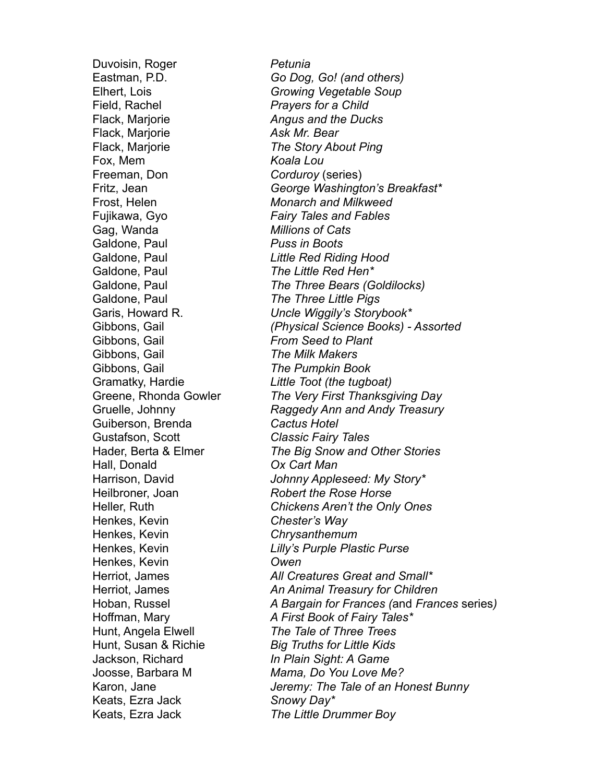Duvoisin, Roger *Petunia* Field, Rachel *Prayers for a Child* Flack, Marjorie *Angus and the Ducks* Flack, Marjorie *Ask Mr. Bear* Flack, Marjorie *The Story About Ping* Fox, Mem *Koala Lou* Freeman, Don *Corduroy* (series) Gag, Wanda *Millions of Cats* Galdone, Paul *Puss in Boots* Galdone, Paul *The Little Red Hen\** Galdone, Paul *The Three Little Pigs* Gibbons, Gail *From Seed to Plant* Gibbons, Gail *The Milk Makers* Gibbons, Gail *The Pumpkin Book* Guiberson, Brenda *Cactus Hotel* Gustafson, Scott *Classic Fairy Tales* Hall, Donald *Ox Cart Man* Henkes, Kevin *Chester's Way* Henkes, Kevin *Chrysanthemum* Henkes, Kevin *Owen* Keats, Ezra Jack *Snowy Day\**

Eastman, P.D. *Go Dog, Go! (and others)* Elhert, Lois *Growing Vegetable Soup* Fritz, Jean *George Washington's Breakfast\** Frost, Helen *Monarch and Milkweed* Fujikawa, Gyo *Fairy Tales and Fables* Galdone, Paul *Little Red Riding Hood* Galdone, Paul *The Three Bears (Goldilocks)* Garis, Howard R. *Uncle Wiggily's Storybook\** Gibbons, Gail *(Physical Science Books) - Assorted* Gramatky, Hardie *Little Toot (the tugboat)* Greene, Rhonda Gowler *The Very First Thanksgiving Day* Gruelle, Johnny *Raggedy Ann and Andy Treasury* Hader, Berta & Elmer *The Big Snow and Other Stories* Harrison, David *Johnny Appleseed: My Story\** Heilbroner, Joan *Robert the Rose Horse* Heller, Ruth *Chickens Aren't the Only Ones* Henkes, Kevin *Lilly's Purple Plastic Purse* Herriot, James *All Creatures Great and Small\** Herriot, James *An Animal Treasury for Children* Hoban, Russel *A Bargain for Frances (*and *Frances* series*)* Hoffman, Mary *A First Book of Fairy Tales\** Hunt, Angela Elwell *The Tale of Three Trees* Hunt, Susan & Richie *Big Truths for Little Kids* Jackson, Richard *In Plain Sight: A Game* Joosse, Barbara M *Mama, Do You Love Me?*  Karon, Jane *Jeremy: The Tale of an Honest Bunny* Keats, Ezra Jack *The Little Drummer Boy*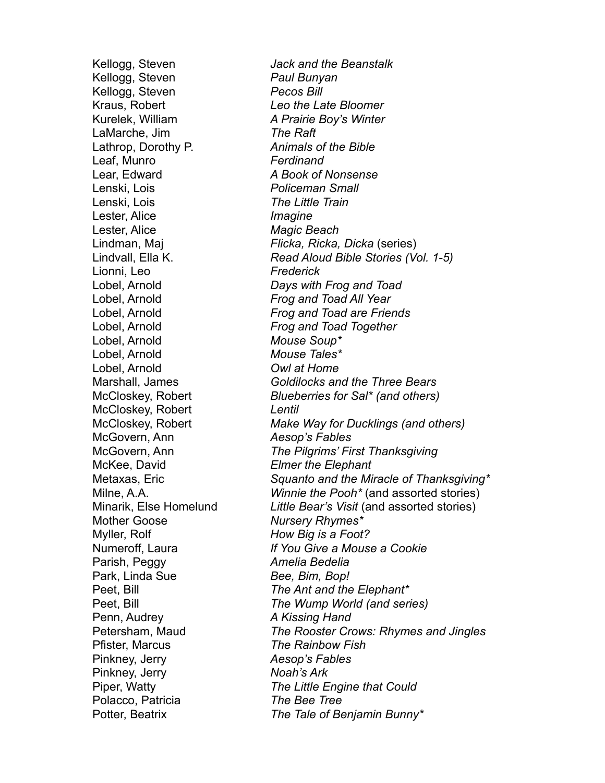Kellogg, Steven *Paul Bunyan* Kellogg, Steven *Pecos Bill* Kraus, Robert *Leo the Late Bloomer* Kurelek, William *A Prairie Boy's Winter* LaMarche, Jim *The Raft* Lathrop, Dorothy P. *Animals of the Bible* Leaf, Munro *Ferdinand* Lear, Edward *A Book of Nonsense* Lenski, Lois *Policeman Small* Lenski, Lois *The Little Train* Lester, Alice *Imagine* Lester, Alice *Magic Beach* Lionni, Leo *Frederick* Lobel, Arnold *Mouse Soup\** Lobel, Arnold *Mouse Tales\** Lobel, Arnold *Owl at Home* McCloskey, Robert *Lentil* McGovern, Ann *Aesop's Fables* McKee, David *Elmer the Elephant* Mother Goose *Nursery Rhymes\** Myller, Rolf *How Big is a Foot?* Parish, Peggy *Amelia Bedelia* Park, Linda Sue *Bee, Bim, Bop!*  Penn, Audrey *A Kissing Hand* Pfister, Marcus *The Rainbow Fish* Pinkney, Jerry *Aesop's Fables* Pinkney, Jerry *Noah's Ark* Polacco, Patricia *The Bee Tree*

Kellogg, Steven *Jack and the Beanstalk* Lindman, Maj *Flicka, Ricka, Dicka* (series) Lindvall, Ella K. *Read Aloud Bible Stories (Vol. 1-5)* Lobel, Arnold *Days with Frog and Toad* Lobel, Arnold *Frog and Toad All Year* Lobel, Arnold *Frog and Toad are Friends* Lobel, Arnold *Frog and Toad Together* Marshall, James *Goldilocks and the Three Bears* McCloskey, Robert *Blueberries for Sal\* (and others)* McCloskey, Robert *Make Way for Ducklings (and others)* McGovern, Ann *The Pilgrims' First Thanksgiving* Metaxas, Eric *Squanto and the Miracle of Thanksgiving\** Milne, A.A. *Winnie the Pooh\** (and assorted stories) Minarik, Else Homelund *Little Bear's Visit* (and assorted stories) Numeroff, Laura *If You Give a Mouse a Cookie* Peet, Bill *The Ant and the Elephant\** Peet, Bill *The Wump World (and series)* Petersham, Maud *The Rooster Crows: Rhymes and Jingles* Piper, Watty *The Little Engine that Could* Potter, Beatrix *The Tale of Benjamin Bunny\**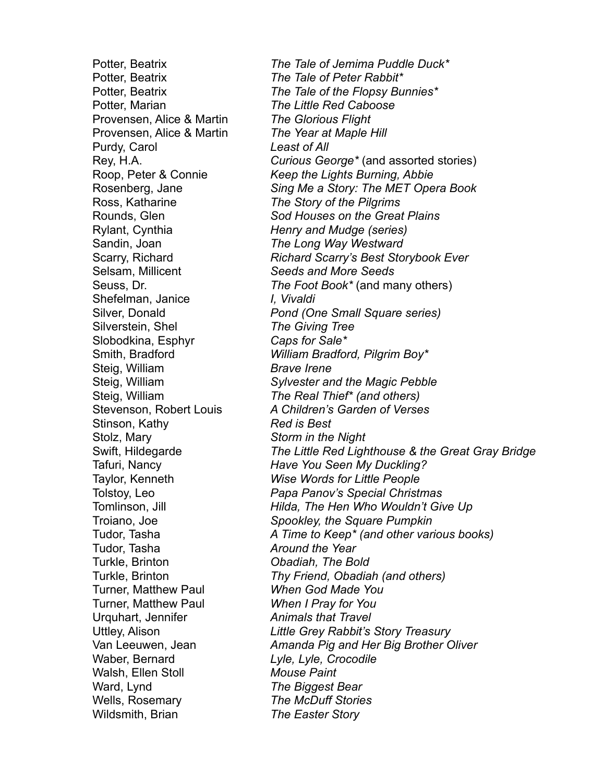Potter, Beatrix *The Tale of Peter Rabbit\** Potter, Marian *The Little Red Caboose* Provensen, Alice & Martin *The Glorious Flight* Provensen, Alice & Martin *The Year at Maple Hill* Purdy, Carol *Least of All* Ross, Katharine *The Story of the Pilgrims* Rylant, Cynthia *Henry and Mudge (series)* Sandin, Joan *The Long Way Westward* Selsam, Millicent *Seeds and More Seeds* Shefelman, Janice *I, Vivaldi* Silverstein, Shel *The Giving Tree* Slobodkina, Esphyr *Caps for Sale\** Steig, William *Brave Irene* Stinson, Kathy *Red is Best* Stolz, Mary *Storm in the Night* Tudor, Tasha *Around the Year* Turkle, Brinton *Obadiah, The Bold* Turner, Matthew Paul *When God Made You* Turner, Matthew Paul *When I Pray for You* Urquhart, Jennifer *Animals that Travel* Waber, Bernard *Lyle, Lyle, Crocodile* Walsh, Ellen Stoll *Mouse Paint* Ward, Lynd *The Biggest Bear* Wells, Rosemary *The McDuff Stories* Wildsmith, Brian *The Easter Story*

Potter, Beatrix *The Tale of Jemima Puddle Duck\** Potter, Beatrix *The Tale of the Flopsy Bunnies\** Rey, H.A. *Curious George\** (and assorted stories) Roop, Peter & Connie *Keep the Lights Burning, Abbie* Rosenberg, Jane *Sing Me a Story: The MET Opera Book* Rounds, Glen *Sod Houses on the Great Plains* Scarry, Richard *Richard Scarry's Best Storybook Ever* Seuss, Dr. *The Foot Book\** (and many others) Silver, Donald *Pond (One Small Square series)* Smith, Bradford *William Bradford, Pilgrim Boy\** Steig, William *Sylvester and the Magic Pebble* Steig, William *The Real Thief\* (and others)* Stevenson, Robert Louis *A Children's Garden of Verses* Swift, Hildegarde *The Little Red Lighthouse & the Great Gray Bridge* Tafuri, Nancy *Have You Seen My Duckling?* Taylor, Kenneth *Wise Words for Little People* Tolstoy, Leo *Papa Panov's Special Christmas* Tomlinson, Jill *Hilda, The Hen Who Wouldn't Give Up* Troiano, Joe *Spookley, the Square Pumpkin* Tudor, Tasha *A Time to Keep\* (and other various books)* Turkle, Brinton *Thy Friend, Obadiah (and others)* Uttley, Alison *Little Grey Rabbit's Story Treasury* Van Leeuwen, Jean *Amanda Pig and Her Big Brother Oliver*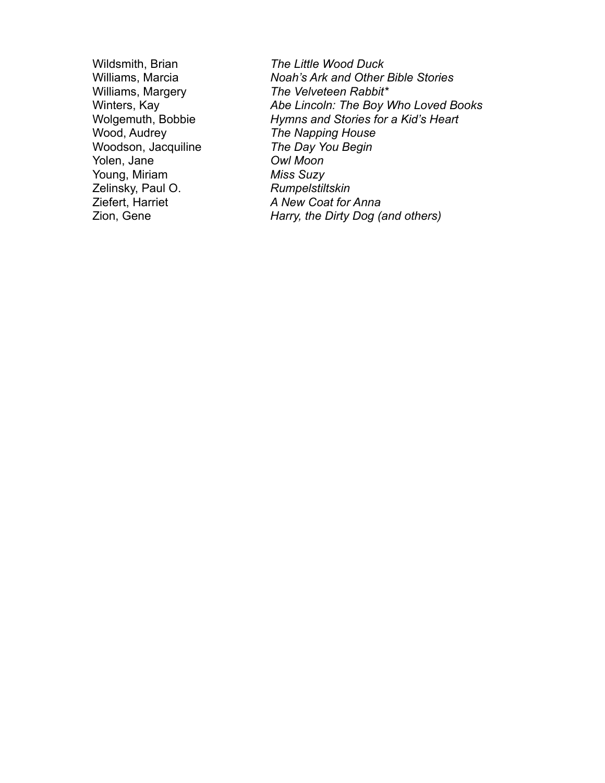Woodson, Jacquiline *The Day You Begin*  Yolen, Jane *Owl Moon* Young, Miriam *Miss Suzy* Zelinsky, Paul O. *Rumpelstiltskin*

Wildsmith, Brian *The Little Wood Duck* **Noah's Ark and Other Bible Stories** Williams, Margery *The Velveteen Rabbit\** Winters, Kay *Abe Lincoln: The Boy Who Loved Books* Wolgemuth, Bobbie *Hymns and Stories for a Kid's Heart* **The Napping House** Ziefert, Harriet *A New Coat for Anna* Zion, Gene *Harry, the Dirty Dog (and others)*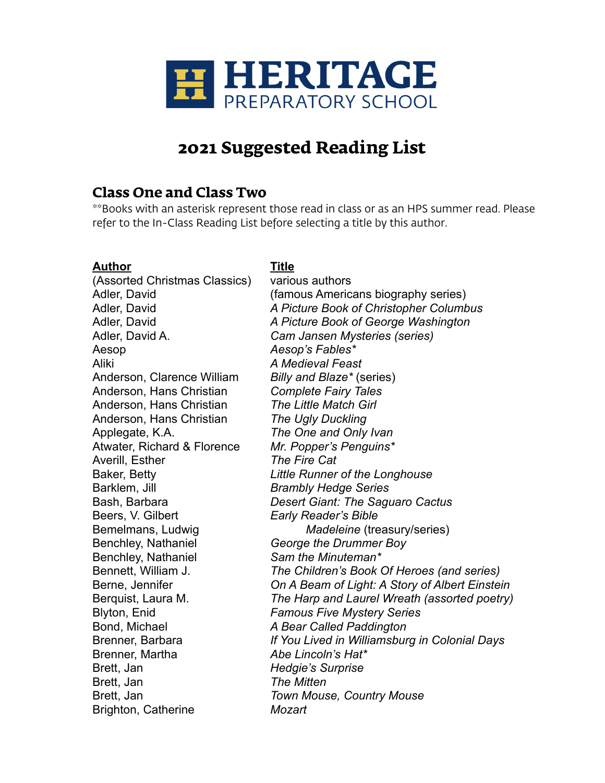

# **2021 Suggested Reading List**

## **Class One and Class Two**

\*\*Books with an asterisk represent those read in class or as an HPS summer read. Please refer to the In-Class Reading List before selecting a title by this author.

#### **Author Title**

(Assorted Christmas Classics) various authors Aesop *Aesop's Fables\** Aliki *A Medieval Feast* Anderson, Clarence William *Billy and Blaze\** (series) Anderson, Hans Christian *Complete Fairy Tales* Anderson, Hans Christian *The Little Match Girl* Anderson, Hans Christian *The Ugly Duckling* Applegate, K.A. *The One and Only Ivan* Atwater, Richard & Florence *Mr. Popper's Penguins\** Averill, Esther *The Fire Cat* Barklem, Jill *Brambly Hedge Series* Beers, V. Gilbert *Early Reader's Bible* Benchley, Nathaniel *George the Drummer Boy* Benchley, Nathaniel *Sam the Minuteman\** Blyton, Enid *Famous Five Mystery Series* Bond, Michael *A Bear Called Paddington* Brenner, Martha *Abe Lincoln's Hat\** Brett, Jan *Hedgie's Surprise* Brett, Jan *The Mitten* Brett, Jan *Town Mouse, Country Mouse* Brighton, Catherine *Mozart*

Adler, David (famous Americans biography series) Adler, David *A Picture Book of Christopher Columbus* Adler, David *A Picture Book of George Washington* Adler, David A. *Cam Jansen Mysteries (series)* Baker, Betty *Little Runner of the Longhouse* Bash, Barbara *Desert Giant: The Saguaro Cactus* Bemelmans, Ludwig *Madeleine* (treasury/series) Bennett, William J. *The Children's Book Of Heroes (and series)* Berne, Jennifer *On A Beam of Light: A Story of Albert Einstein* Berquist, Laura M. *The Harp and Laurel Wreath (assorted poetry)* Brenner, Barbara *If You Lived in Williamsburg in Colonial Days*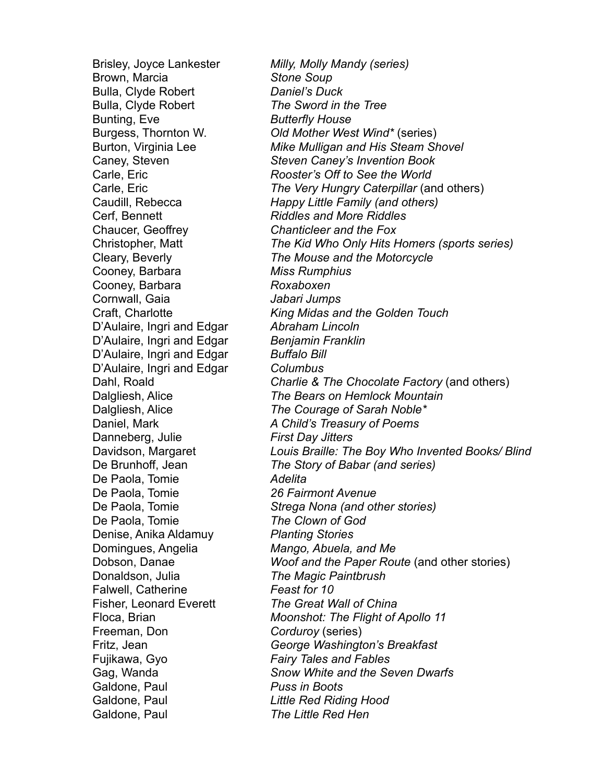Brown, Marcia *Stone Soup* Bulla, Clyde Robert *Daniel's Duck* Bulla, Clyde Robert *The Sword in the Tree* Bunting, Eve *Butterfly House* Cerf, Bennett *Riddles and More Riddles* Chaucer, Geoffrey *Chanticleer and the Fox* Cooney, Barbara *Miss Rumphius* Cooney, Barbara *Roxaboxen* Cornwall, Gaia *Jabari Jumps* D'Aulaire, Ingri and Edgar *Abraham Lincoln* D'Aulaire, Ingri and Edgar *Benjamin Franklin* D'Aulaire, Ingri and Edgar *Buffalo Bill* D'Aulaire, Ingri and Edgar *Columbus* Danneberg, Julie *First Day Jitters* De Paola, Tomie *Adelita* De Paola, Tomie *26 Fairmont Avenue* De Paola, Tomie *The Clown of God* Denise, Anika Aldamuy *Planting Stories*  Domingues, Angelia *Mango, Abuela, and Me* Donaldson, Julia *The Magic Paintbrush* Falwell, Catherine *Feast for 10* Fisher, Leonard Everett *The Great Wall of China* Freeman, Don *Corduroy* (series) Fujikawa, Gyo *Fairy Tales and Fables* Galdone, Paul *Puss in Boots* Galdone, Paul *Little Red Riding Hood* Galdone, Paul *The Little Red Hen*

Brisley, Joyce Lankester *Milly, Molly Mandy (series)* Burgess, Thornton W. *Old Mother West Wind\** (series) Burton, Virginia Lee *Mike Mulligan and His Steam Shovel* Caney, Steven *Steven Caney's Invention Book* Carle, Eric *Rooster's Off to See the World* Carle, Eric *The Very Hungry Caterpillar* (and others) Caudill, Rebecca *Happy Little Family (and others)* Christopher, Matt *The Kid Who Only Hits Homers (sports series)* Cleary, Beverly *The Mouse and the Motorcycle* Craft, Charlotte *King Midas and the Golden Touch* Dahl, Roald *Charlie & The Chocolate Factory* (and others) Dalgliesh, Alice *The Bears on Hemlock Mountain* Dalgliesh, Alice *The Courage of Sarah Noble\** Daniel, Mark *A Child's Treasury of Poems* Davidson, Margaret *Louis Braille: The Boy Who Invented Books/ Blind* De Brunhoff, Jean *The Story of Babar (and series)* De Paola, Tomie *Strega Nona (and other stories)* Dobson, Danae *Woof and the Paper Route* (and other stories) Floca, Brian *Moonshot: The Flight of Apollo 11* Fritz, Jean *George Washington's Breakfast* Gag, Wanda *Snow White and the Seven Dwarfs*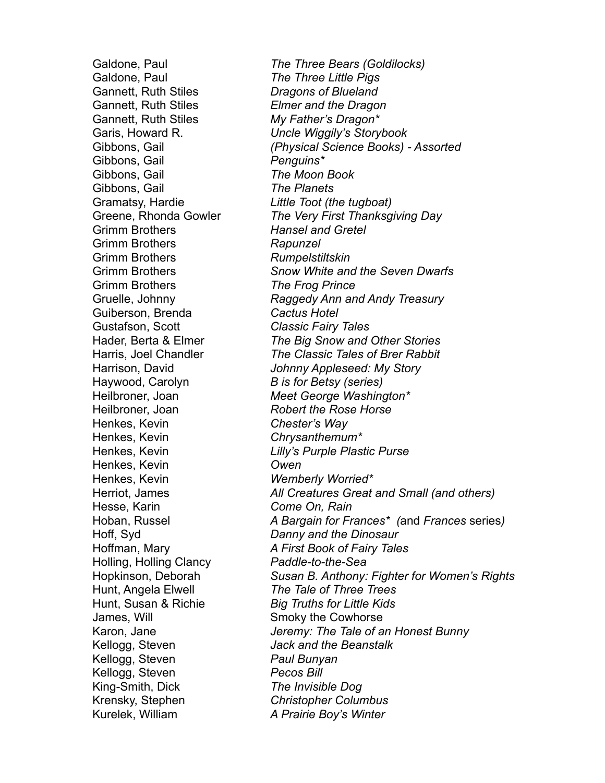Galdone, Paul *The Three Little Pigs* Gannett, Ruth Stiles *Dragons of Blueland* Gannett, Ruth Stiles *Elmer and the Dragon* Gannett, Ruth Stiles *My Father's Dragon\** Gibbons, Gail *Penguins\** Gibbons, Gail *The Moon Book* Gibbons, Gail *The Planets* Gramatsy, Hardie *Little Toot (the tugboat)* Grimm Brothers *Hansel and Gretel* Grimm Brothers *Rapunzel* Grimm Brothers *Rumpelstiltskin* Grimm Brothers *The Frog Prince* Guiberson, Brenda *Cactus Hotel* Gustafson, Scott *Classic Fairy Tales* Haywood, Carolyn *B is for Betsy (series)* Heilbroner, Joan *Robert the Rose Horse* Henkes, Kevin *Chester's Way* Henkes, Kevin *Chrysanthemum\** Henkes, Kevin *Owen* Henkes, Kevin *Wemberly Worried\** Hesse, Karin *Come On, Rain* Hoff, Syd *Danny and the Dinosaur* Holling, Holling Clancy *Paddle-to-the-Sea* Hunt, Angela Elwell *The Tale of Three Trees* Hunt, Susan & Richie *Big Truths for Little Kids* James, Will Smoky the Cowhorse Kellogg, Steven *Jack and the Beanstalk* Kellogg, Steven *Paul Bunyan* Kellogg, Steven *Pecos Bill* King-Smith, Dick *The Invisible Dog* Krensky, Stephen *Christopher Columbus* Kurelek, William *A Prairie Boy's Winter*

Galdone, Paul *The Three Bears (Goldilocks)* Garis, Howard R. *Uncle Wiggily's Storybook* Gibbons, Gail *(Physical Science Books) - Assorted* Greene, Rhonda Gowler *The Very First Thanksgiving Day* Grimm Brothers *Snow White and the Seven Dwarfs* Gruelle, Johnny *Raggedy Ann and Andy Treasury* Hader, Berta & Elmer *The Big Snow and Other Stories* Harris, Joel Chandler *The Classic Tales of Brer Rabbit* Harrison, David *Johnny Appleseed: My Story* Heilbroner, Joan *Meet George Washington\** Henkes, Kevin *Lilly's Purple Plastic Purse* Herriot, James *All Creatures Great and Small (and others)* Hoban, Russel *A Bargain for Frances\* (*and *Frances* series*)* Hoffman, Mary *A First Book of Fairy Tales* Hopkinson, Deborah *Susan B. Anthony: Fighter for Women's Rights* Karon, Jane *Jeremy: The Tale of an Honest Bunny*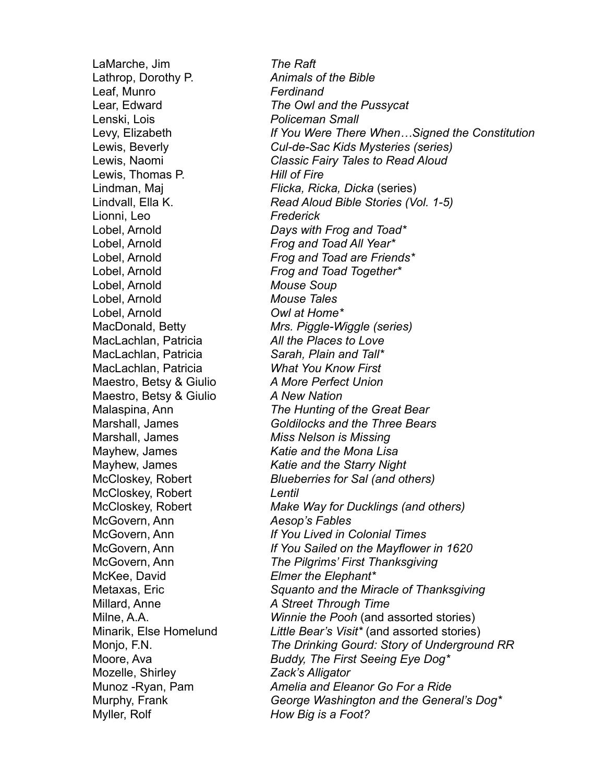LaMarche, Jim *The Raft* Lathrop, Dorothy P. *Animals of the Bible* Leaf, Munro *Ferdinand* Lenski, Lois *Policeman Small* Lewis, Thomas P. *Hill of Fire* Lionni, Leo *Frederick* Lobel, Arnold *Frog and Toad All Year\** Lobel, Arnold *Mouse Soup* Lobel, Arnold *Mouse Tales* Lobel, Arnold *Owl at Home\** MacLachlan, Patricia *All the Places to Love* MacLachlan, Patricia *Sarah, Plain and Tall\** MacLachlan, Patricia *What You Know First* Maestro, Betsy & Giulio *A More Perfect Union* Maestro, Betsy & Giulio *A New Nation* Marshall, James *Miss Nelson is Missing* McCloskey, Robert *Lentil* McGovern, Ann *Aesop's Fables* McKee, David *Elmer the Elephant\** Millard, Anne *A Street Through Time* Mozelle, Shirley *Zack's Alligator* Myller, Rolf *How Big is a Foot?*

Lear, Edward *The Owl and the Pussycat* Levy, Elizabeth *If You Were There When…Signed the Constitution* Lewis, Beverly *Cul-de-Sac Kids Mysteries (series)* Lewis, Naomi *Classic Fairy Tales to Read Aloud* Lindman, Maj *Flicka, Ricka, Dicka* (series) Lindvall, Ella K. *Read Aloud Bible Stories (Vol. 1-5)* Lobel, Arnold *Days with Frog and Toad\** Lobel, Arnold *Frog and Toad are Friends\** Lobel, Arnold *Frog and Toad Together\** MacDonald, Betty *Mrs. Piggle-Wiggle (series)* Malaspina, Ann *The Hunting of the Great Bear* Marshall, James *Goldilocks and the Three Bears* Mayhew, James *Katie and the Mona Lisa* Mayhew, James *Katie and the Starry Night* McCloskey, Robert *Blueberries for Sal (and others)* McCloskey, Robert *Make Way for Ducklings (and others)* McGovern, Ann *If You Lived in Colonial Times* McGovern, Ann *If You Sailed on the Mayflower in 1620* McGovern, Ann *The Pilgrims' First Thanksgiving* Metaxas, Eric *Squanto and the Miracle of Thanksgiving* Milne, A.A. *Winnie the Pooh* (and assorted stories) Minarik, Else Homelund *Little Bear's Visit\** (and assorted stories) Monjo, F.N. *The Drinking Gourd: Story of Underground RR* Moore, Ava *Buddy, The First Seeing Eye Dog\** Munoz -Ryan, Pam *Amelia and Eleanor Go For a Ride* Murphy, Frank *George Washington and the General's Dog\**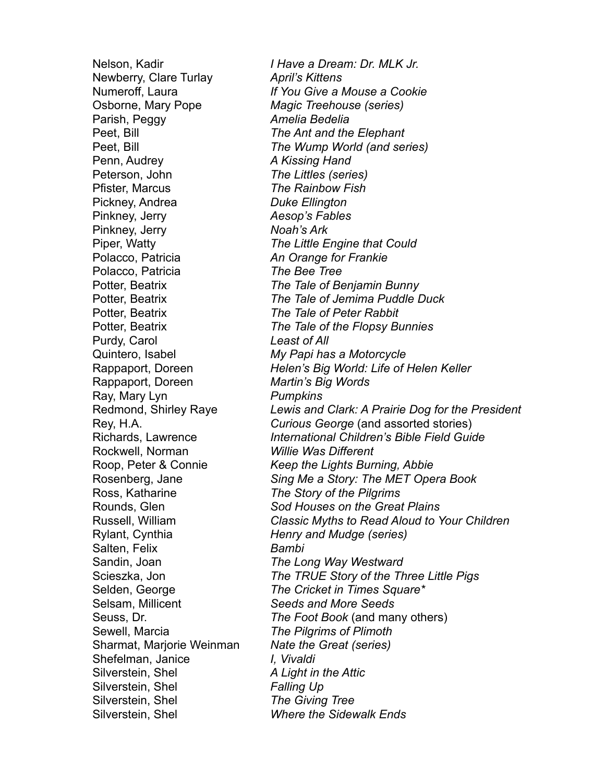Newberry, Clare Turlay *April's Kittens* Osborne, Mary Pope *Magic Treehouse (series)* Parish, Peggy *Amelia Bedelia* Peet, Bill *The Ant and the Elephant* Penn, Audrey *A Kissing Hand* Peterson, John *The Littles (series)* Pfister, Marcus *The Rainbow Fish* Pickney, Andrea *Duke Ellington* Pinkney, Jerry *Aesop's Fables* Pinkney, Jerry *Noah's Ark* Polacco, Patricia *An Orange for Frankie* Polacco, Patricia *The Bee Tree* Potter, Beatrix *The Tale of Peter Rabbit* Purdy, Carol *Least of All* Quintero, Isabel *My Papi has a Motorcycle* Rappaport, Doreen *Martin's Big Words* Ray, Mary Lyn *Pumpkins* Rockwell, Norman *Willie Was Different* Ross, Katharine *The Story of the Pilgrims* Rylant, Cynthia *Henry and Mudge (series)* Salten, Felix *Bambi* Sandin, Joan *The Long Way Westward* Selsam, Millicent *Seeds and More Seeds* Sewell, Marcia *The Pilgrims of Plimoth* Sharmat, Marjorie Weinman *Nate the Great (series)* Shefelman, Janice *I, Vivaldi* Silverstein, Shel *A Light in the Attic* Silverstein, Shel *Falling Up* Silverstein, Shel *The Giving Tree* Silverstein, Shel *Where the Sidewalk Ends*

Nelson, Kadir *I Have a Dream: Dr. MLK Jr.* Numeroff, Laura *If You Give a Mouse a Cookie* Peet, Bill *The Wump World (and series)* Piper, Watty *The Little Engine that Could* Potter, Beatrix *The Tale of Benjamin Bunny* Potter, Beatrix *The Tale of Jemima Puddle Duck* Potter, Beatrix *The Tale of the Flopsy Bunnies* Rappaport, Doreen *Helen's Big World: Life of Helen Keller* Redmond, Shirley Raye *Lewis and Clark: A Prairie Dog for the President* Rey, H.A. *Curious George* (and assorted stories) Richards, Lawrence *International Children's Bible Field Guide* Roop, Peter & Connie *Keep the Lights Burning, Abbie* Rosenberg, Jane *Sing Me a Story: The MET Opera Book* Rounds, Glen *Sod Houses on the Great Plains* Russell, William *Classic Myths to Read Aloud to Your Children* Scieszka, Jon *The TRUE Story of the Three Little Pigs* Selden, George *The Cricket in Times Square\** Seuss, Dr. *The Foot Book* (and many others)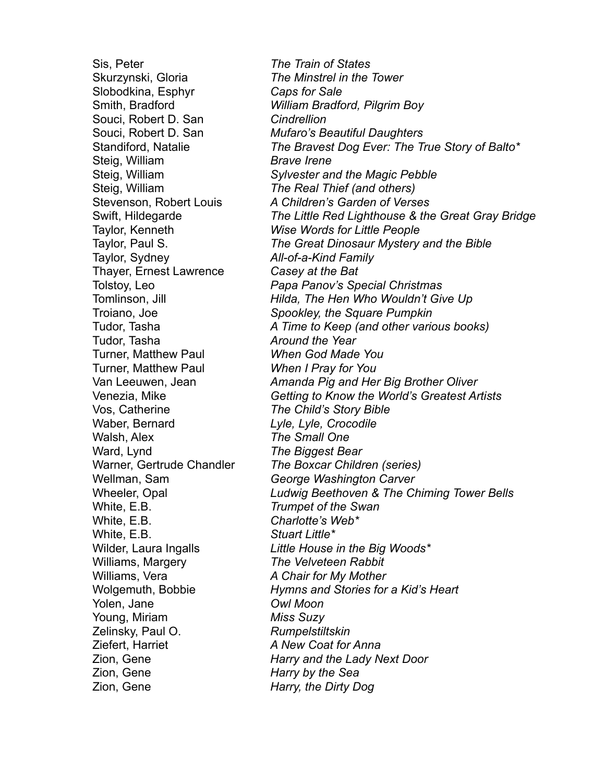Sis, Peter *The Train of States* Skurzynski, Gloria *The Minstrel in the Tower* Slobodkina, Esphyr *Caps for Sale* Souci, Robert D. San *Cindrellion* Steig, William *Brave Irene* Steig, William *The Real Thief (and others)* Taylor, Sydney *All-of-a-Kind Family* Thayer, Ernest Lawrence *Casey at the Bat* Tudor, Tasha *Around the Year* Turner, Matthew Paul *When God Made You* Turner, Matthew Paul *When I Pray for You* Vos, Catherine *The Child's Story Bible* Waber, Bernard *Lyle, Lyle, Crocodile* Walsh, Alex *The Small One* Ward, Lynd *The Biggest Bear* Wellman, Sam *George Washington Carver* White, E.B. *Trumpet of the Swan* White, E.B. *Charlotte's Web\** White, E.B. *Stuart Little\** Williams, Margery *The Velveteen Rabbit* Williams, Vera *A Chair for My Mother* Yolen, Jane *Owl Moon* Young, Miriam *Miss Suzy* Zelinsky, Paul O. *Rumpelstiltskin* Ziefert, Harriet *A New Coat for Anna* Zion, Gene *Harry by the Sea* Zion, Gene *Harry, the Dirty Dog*

Smith, Bradford *William Bradford, Pilgrim Boy* Souci, Robert D. San *Mufaro's Beautiful Daughters*  Standiford, Natalie *The Bravest Dog Ever: The True Story of Balto\** Steig, William *Sylvester and the Magic Pebble* Stevenson, Robert Louis *A Children's Garden of Verses* Swift, Hildegarde *The Little Red Lighthouse & the Great Gray Bridge* Taylor, Kenneth *Wise Words for Little People* Taylor, Paul S. *The Great Dinosaur Mystery and the Bible* Tolstoy, Leo *Papa Panov's Special Christmas* Tomlinson, Jill *Hilda, The Hen Who Wouldn't Give Up* Troiano, Joe *Spookley, the Square Pumpkin* Tudor, Tasha *A Time to Keep (and other various books)* Van Leeuwen, Jean *Amanda Pig and Her Big Brother Oliver* Venezia, Mike *Getting to Know the World's Greatest Artists* Warner, Gertrude Chandler *The Boxcar Children (series)* Wheeler, Opal *Ludwig Beethoven & The Chiming Tower Bells* Wilder, Laura Ingalls *Little House in the Big Woods\** Wolgemuth, Bobbie *Hymns and Stories for a Kid's Heart* Zion, Gene *Harry and the Lady Next Door*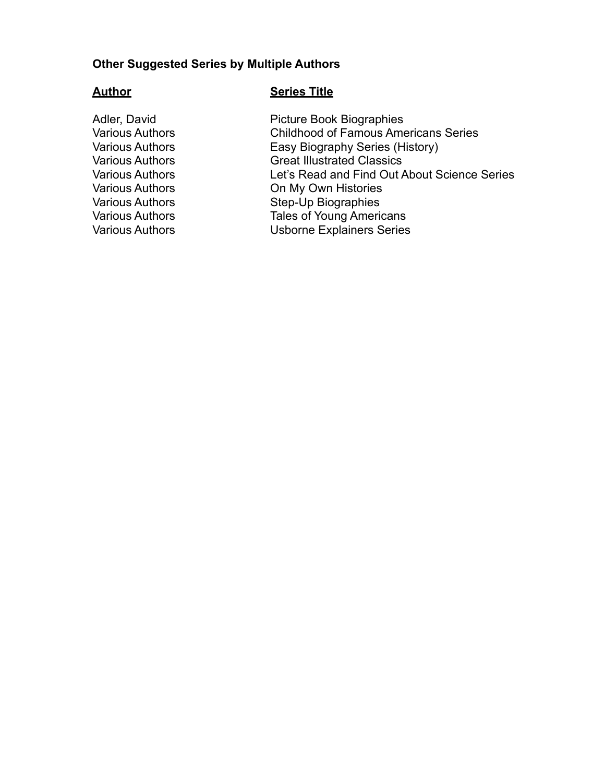#### **Other Suggested Series by Multiple Authors**

#### **Author Series Title**

Adler, David<br>
Various Authors<br>
Various Authors<br>
Childhood of Famous Ame Childhood of Famous Americans Series Various Authors Easy Biography Series (History) Various Authors Great Illustrated Classics Various Authors Let's Read and Find Out About Science Series Various Authors **On My Own Histories** Various Authors Step-Up Biographies Various Authors Tales of Young Americans Various Authors Usborne Explainers Series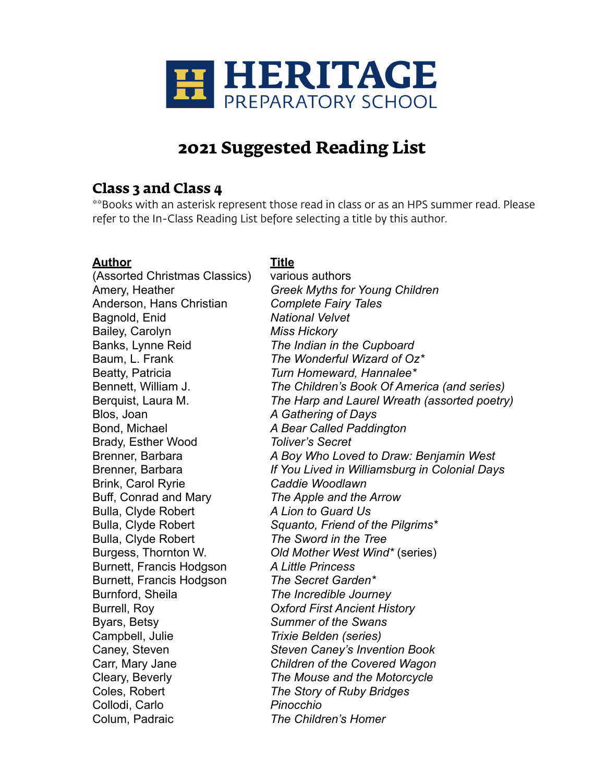

# **2021 Suggested Reading List**

## **Class 3 and Class 4**

\*\*Books with an asterisk represent those read in class or as an HPS summer read. Please refer to the In-Class Reading List before selecting a title by this author.

## **Author Title**

(Assorted Christmas Classics) various authors Anderson, Hans Christian *Complete Fairy Tales* Bagnold, Enid *National Velvet* Bailey, Carolyn *Miss Hickory* Banks, Lynne Reid *The Indian in the Cupboard* Beatty, Patricia *Turn Homeward, Hannalee\** Blos, Joan *A Gathering of Days* Bond, Michael *A Bear Called Paddington* Brady, Esther Wood *Toliver's Secret* Brink, Carol Ryrie *Caddie Woodlawn* Buff, Conrad and Mary *The Apple and the Arrow* Bulla, Clyde Robert *A Lion to Guard Us* Bulla, Clyde Robert *The Sword in the Tree* Burnett, Francis Hodgson *A Little Princess* Burnett, Francis Hodgson *The Secret Garden\** Burnford, Sheila *The Incredible Journey* Burrell, Roy *Oxford First Ancient History* Byars, Betsy *Summer of the Swans* Campbell, Julie *Trixie Belden (series)* Coles, Robert *The Story of Ruby Bridges* Collodi, Carlo *Pinocchio* Colum, Padraic *The Children's Homer*

Amery, Heather *Greek Myths for Young Children* Baum, L. Frank *The Wonderful Wizard of Oz\** Bennett, William J. *The Children's Book Of America (and series)* Berquist, Laura M. *The Harp and Laurel Wreath (assorted poetry)* Brenner, Barbara *A Boy Who Loved to Draw: Benjamin West* Brenner, Barbara *If You Lived in Williamsburg in Colonial Days* Bulla, Clyde Robert *Squanto, Friend of the Pilgrims\** Burgess, Thornton W. *Old Mother West Wind\** (series) Caney, Steven *Steven Caney's Invention Book* Carr, Mary Jane *Children of the Covered Wagon* Cleary, Beverly *The Mouse and the Motorcycle*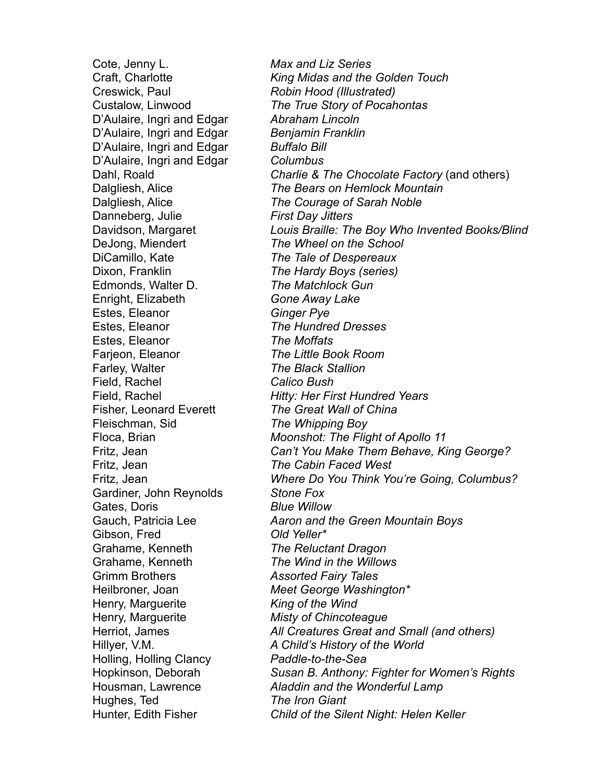Cote, Jenny L. *Max and Liz Series* Creswick, Paul *Robin Hood (Illustrated)* D'Aulaire, Ingri and Edgar *Abraham Lincoln* D'Aulaire, Ingri and Edgar *Benjamin Franklin* D'Aulaire, Ingri and Edgar *Buffalo Bill* D'Aulaire, Ingri and Edgar *Columbus* Danneberg, Julie *First Day Jitters* DeJong, Miendert *The Wheel on the School* DiCamillo, Kate *The Tale of Despereaux* Dixon, Franklin *The Hardy Boys (series)* Edmonds, Walter D. *The Matchlock Gun* Enright, Elizabeth *Gone Away Lake* Estes, Eleanor *Ginger Pye* Estes, Eleanor *The Hundred Dresses* Estes, Eleanor *The Moffats* Farjeon, Eleanor *The Little Book Room* Farley, Walter *The Black Stallion* Field, Rachel *Calico Bush* Fisher, Leonard Everett *The Great Wall of China* Fleischman, Sid *The Whipping Boy* Fritz, Jean *The Cabin Faced West* Gardiner, John Reynolds *Stone Fox* Gates, Doris *Blue Willow* Gibson, Fred *Old Yeller\** Grahame, Kenneth *The Reluctant Dragon* Grahame, Kenneth *The Wind in the Willows* Grimm Brothers *Assorted Fairy Tales* Heilbroner, Joan *Meet George Washington\** Henry, Marguerite *King of the Wind* Henry, Marguerite *Misty of Chincoteague* Holling, Holling Clancy *Paddle-to-the-Sea* Hughes, Ted *The Iron Giant*

Craft, Charlotte *King Midas and the Golden Touch* Custalow, Linwood *The True Story of Pocahontas* Dahl, Roald *Charlie & The Chocolate Factory* (and others) Dalgliesh, Alice *The Bears on Hemlock Mountain* Dalgliesh, Alice *The Courage of Sarah Noble* Davidson, Margaret *Louis Braille: The Boy Who Invented Books/Blind* Field, Rachel *Hitty: Her First Hundred Years* Floca, Brian *Moonshot: The Flight of Apollo 11* Fritz, Jean *Can't You Make Them Behave, King George?* Fritz, Jean *Where Do You Think You're Going, Columbus?* Gauch, Patricia Lee *Aaron and the Green Mountain Boys* Herriot, James *All Creatures Great and Small (and others)* Hillyer, V.M. *A Child's History of the World* Hopkinson, Deborah *Susan B. Anthony: Fighter for Women's Rights* Housman, Lawrence *Aladdin and the Wonderful Lamp* Hunter, Edith Fisher *Child of the Silent Night: Helen Keller*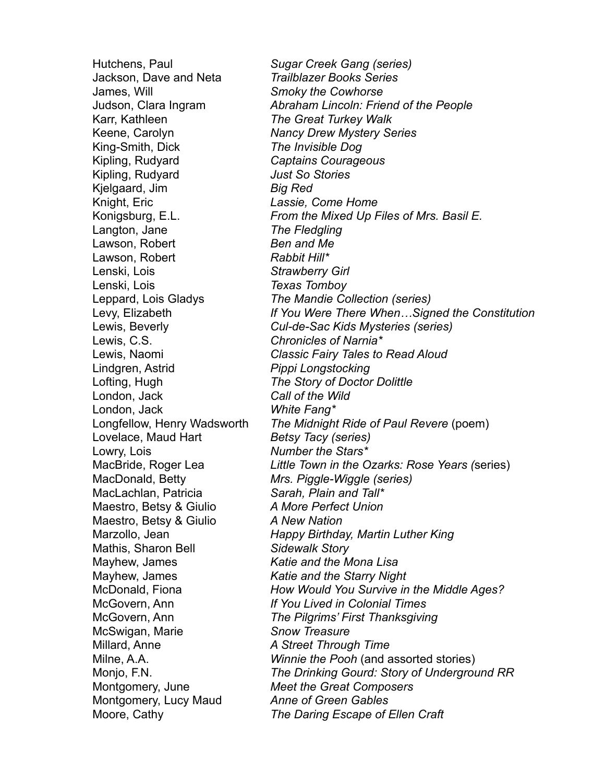Jackson, Dave and Neta *Trailblazer Books Series* James, Will *Smoky the Cowhorse* Karr, Kathleen *The Great Turkey Walk* Keene, Carolyn *Nancy Drew Mystery Series* King-Smith, Dick *The Invisible Dog* Kipling, Rudyard *Captains Courageous* Kipling, Rudyard *Just So Stories* Kjelgaard, Jim *Big Red* Knight, Eric *Lassie, Come Home* Langton, Jane *The Fledgling* Lawson, Robert *Ben and Me* Lawson, Robert **Rabbit Hill**\* Lenski, Lois *Strawberry Girl* Lenski, Lois *Texas Tomboy* Lewis, C.S. *Chronicles of Narnia\** Lindgren, Astrid *Pippi Longstocking* Lofting, Hugh *The Story of Doctor Dolittle* London, Jack *Call of the Wild* London, Jack *White Fang\** Lovelace, Maud Hart *Betsy Tacy (series)* Lowry, Lois *Number the Stars\** MacDonald, Betty *Mrs. Piggle-Wiggle (series)* MacLachlan, Patricia *Sarah, Plain and Tall\** Maestro, Betsy & Giulio *A More Perfect Union* Maestro, Betsy & Giulio *A New Nation* Mathis, Sharon Bell *Sidewalk Story* Mayhew, James *Katie and the Mona Lisa* Mayhew, James *Katie and the Starry Night* McSwigan, Marie *Snow Treasure* Millard, Anne *A Street Through Time* Montgomery, June *Meet the Great Composers* Montgomery, Lucy Maud *Anne of Green Gables*

Hutchens, Paul *Sugar Creek Gang (series)* Judson, Clara Ingram *Abraham Lincoln: Friend of the People* Konigsburg, E.L. *From the Mixed Up Files of Mrs. Basil E.* Leppard, Lois Gladys *The Mandie Collection (series)* Levy, Elizabeth *If You Were There When…Signed the Constitution* Lewis, Beverly *Cul-de-Sac Kids Mysteries (series)* Lewis, Naomi *Classic Fairy Tales to Read Aloud* Longfellow, Henry Wadsworth *The Midnight Ride of Paul Revere* (poem) MacBride, Roger Lea *Little Town in the Ozarks: Rose Years (*series) Marzollo, Jean *Happy Birthday, Martin Luther King* McDonald, Fiona *How Would You Survive in the Middle Ages?* McGovern, Ann *If You Lived in Colonial Times* McGovern, Ann *The Pilgrims' First Thanksgiving* Milne, A.A. *Winnie the Pooh* (and assorted stories) Monjo, F.N. *The Drinking Gourd: Story of Underground RR* Moore, Cathy *The Daring Escape of Ellen Craft*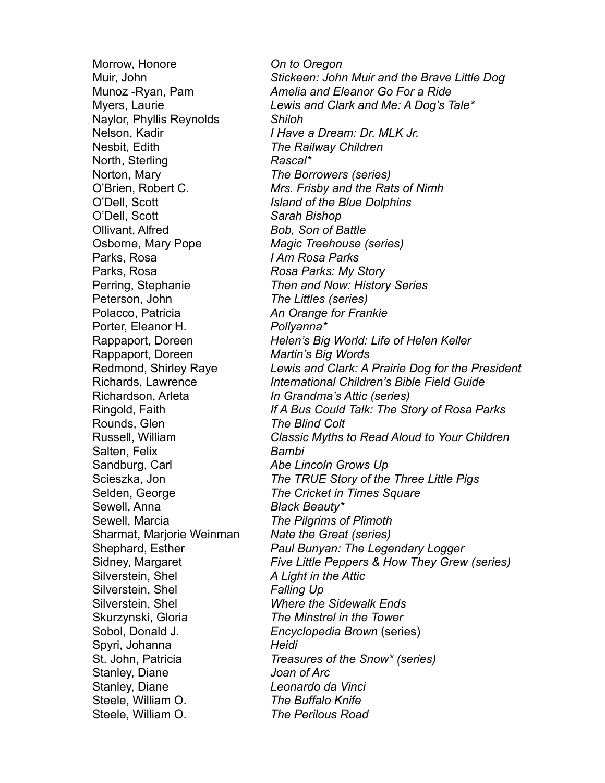Morrow, Honore *On to Oregon* Naylor, Phyllis Reynolds *Shiloh* Nesbit, Edith *The Railway Children* North, Sterling *Rascal*\* Norton, Mary *The Borrowers (series)* O'Dell, Scott *Island of the Blue Dolphins* O'Dell, Scott *Sarah Bishop* Ollivant, Alfred *Bob, Son of Battle* Osborne, Mary Pope *Magic Treehouse (series)* Parks, Rosa *I Am Rosa Parks* Parks, Rosa *Rosa Parks: My Story* Peterson, John *The Littles (series)* Polacco, Patricia *An Orange for Frankie* Porter, Eleanor H. *Pollyanna\** Rappaport, Doreen *Martin's Big Words* Richardson, Arleta *In Grandma's Attic (series)* Rounds, Glen *The Blind Colt* Salten, Felix *Bambi* Sandburg, Carl *Abe Lincoln Grows Up* Sewell, Anna *Black Beauty\** Sewell, Marcia *The Pilgrims of Plimoth* Sharmat, Marjorie Weinman *Nate the Great (series)* Silverstein, Shel *A Light in the Attic* Silverstein, Shel *Falling Up* Silverstein, Shel *Where the Sidewalk Ends* Skurzynski, Gloria *The Minstrel in the Tower* Spyri, Johanna *Heidi* Stanley, Diane *Joan of Arc* Stanley, Diane *Leonardo da Vinci* Steele, William O. *The Buffalo Knife* Steele, William O. *The Perilous Road*

Muir, John *Stickeen: John Muir and the Brave Little Dog* Munoz -Ryan, Pam *Amelia and Eleanor Go For a Ride* Myers, Laurie *Lewis and Clark and Me: A Dog's Tale\** Nelson, Kadir *I Have a Dream: Dr. MLK Jr.* O'Brien, Robert C. *Mrs. Frisby and the Rats of Nimh* Perring, Stephanie *Then and Now: History Series* Rappaport, Doreen *Helen's Big World: Life of Helen Keller* Redmond, Shirley Raye *Lewis and Clark: A Prairie Dog for the President* Richards, Lawrence *International Children's Bible Field Guide* Ringold, Faith *If A Bus Could Talk: The Story of Rosa Parks* Russell, William *Classic Myths to Read Aloud to Your Children* Scieszka, Jon *The TRUE Story of the Three Little Pigs* Selden, George *The Cricket in Times Square* Shephard, Esther *Paul Bunyan: The Legendary Logger* Sidney, Margaret *Five Little Peppers & How They Grew (series)* Sobol, Donald J. *Encyclopedia Brown* (series) St. John, Patricia *Treasures of the Snow\* (series)*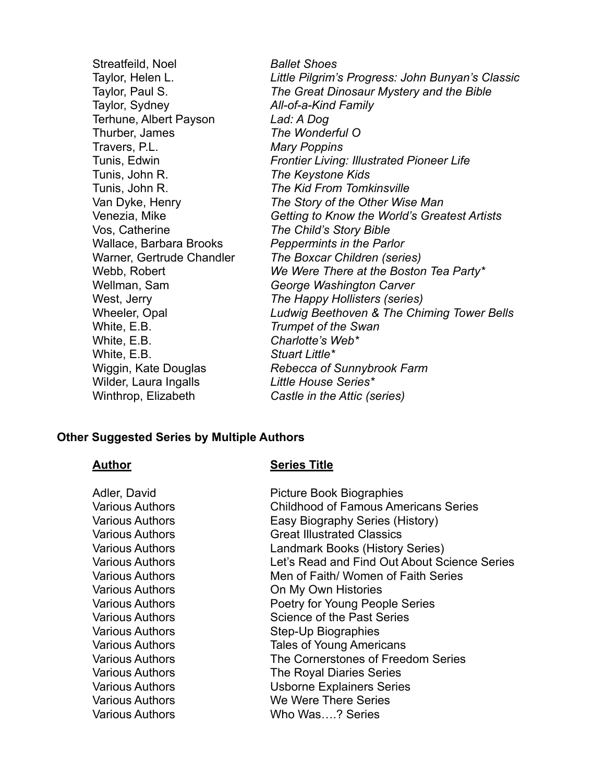Streatfeild, Noel *Ballet Shoes* Taylor, Helen L. *Little Pilgrim's Progress: John Bunyan's Classic* Taylor, Paul S. *The Great Dinosaur Mystery and the Bible* Taylor, Sydney *All-of-a-Kind Family* Terhune, Albert Payson *Lad: A Dog* Thurber, James *The Wonderful O* Travers, P.L. *Mary Poppins* Tunis, Edwin *Frontier Living: Illustrated Pioneer Life* Tunis, John R. *The Keystone Kids* Tunis, John R. *The Kid From Tomkinsville* Van Dyke, Henry *The Story of the Other Wise Man* Venezia, Mike *Getting to Know the World's Greatest Artists* Vos, Catherine *The Child's Story Bible* Wallace, Barbara Brooks *Peppermints in the Parlor* Warner, Gertrude Chandler *The Boxcar Children (series)* Webb, Robert *We Were There at the Boston Tea Party\** Wellman, Sam *George Washington Carver* West, Jerry *The Happy Hollisters (series)* Wheeler, Opal *Ludwig Beethoven & The Chiming Tower Bells* White, E.B. *Trumpet of the Swan* White, E.B. *Charlotte's Web\** White, E.B. *Stuart Little\** Wiggin, Kate Douglas *Rebecca of Sunnybrook Farm* Wilder, Laura Ingalls *Little House Series\** Winthrop, Elizabeth *Castle in the Attic (series)*

#### **Other Suggested Series by Multiple Authors**

#### **Author Series Title**

| Adler, David<br><b>Various Authors</b><br>Various Authors<br>Various Authors<br>Various Authors<br>Various Authors<br>Various Authors<br><b>Various Authors</b><br>Various Authors<br>Various Authors<br><b>Various Authors</b><br>Various Authors | <b>Picture Book Biographies</b><br><b>Childhood of Famous Americans Series</b><br>Easy Biography Series (History)<br><b>Great Illustrated Classics</b><br>Landmark Books (History Series)<br>Let's Read and Find Out About Science Series<br>Men of Faith/ Women of Faith Series<br>On My Own Histories<br>Poetry for Young People Series<br>Science of the Past Series<br><b>Step-Up Biographies</b> |
|----------------------------------------------------------------------------------------------------------------------------------------------------------------------------------------------------------------------------------------------------|-------------------------------------------------------------------------------------------------------------------------------------------------------------------------------------------------------------------------------------------------------------------------------------------------------------------------------------------------------------------------------------------------------|
|                                                                                                                                                                                                                                                    |                                                                                                                                                                                                                                                                                                                                                                                                       |
|                                                                                                                                                                                                                                                    |                                                                                                                                                                                                                                                                                                                                                                                                       |
|                                                                                                                                                                                                                                                    | <b>Tales of Young Americans</b>                                                                                                                                                                                                                                                                                                                                                                       |
| Various Authors<br><b>Various Authors</b><br>Various Authors<br>Various Authors<br>Various Authors                                                                                                                                                 | The Cornerstones of Freedom Series<br>The Royal Diaries Series<br><b>Usborne Explainers Series</b><br>We Were There Series<br>Who Was? Series                                                                                                                                                                                                                                                         |
|                                                                                                                                                                                                                                                    |                                                                                                                                                                                                                                                                                                                                                                                                       |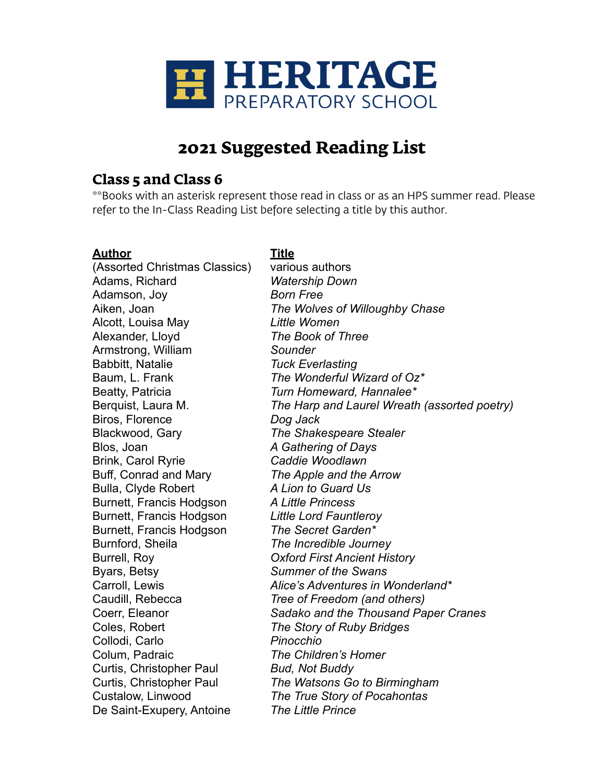

# **2021 Suggested Reading List**

## **Class 5 and Class 6**

\*\*Books with an asterisk represent those read in class or as an HPS summer read. Please refer to the In-Class Reading List before selecting a title by this author.

## **Author Title**

(Assorted Christmas Classics) various authors Adams, Richard *Watership Down* Adamson, Joy *Born Free* Alcott, Louisa May *Little Women* Alexander, Lloyd *The Book of Three* Armstrong, William *Sounder* Babbitt, Natalie *Tuck Everlasting* Baum, L. Frank *The Wonderful Wizard of Oz\** Beatty, Patricia *Turn Homeward, Hannalee\** Biros, Florence *Dog Jack* Blackwood, Gary *The Shakespeare Stealer* Blos, Joan *A Gathering of Days* Brink, Carol Ryrie *Caddie Woodlawn* Buff, Conrad and Mary *The Apple and the Arrow* Bulla, Clyde Robert *A Lion to Guard Us* Burnett, Francis Hodgson *A Little Princess* Burnett, Francis Hodgson *Little Lord Fauntleroy* Burnett, Francis Hodgson *The Secret Garden\** Burnford, Sheila *The Incredible Journey* Burrell, Roy *Oxford First Ancient History* Byars, Betsy *Summer of the Swans* Caudill, Rebecca *Tree of Freedom (and others)* Coles, Robert *The Story of Ruby Bridges* Collodi, Carlo *Pinocchio* Colum, Padraic *The Children's Homer* Curtis, Christopher Paul *Bud, Not Buddy* De Saint-Exupery, Antoine *The Little Prince*

# Aiken, Joan *The Wolves of Willoughby Chase* Berquist, Laura M. *The Harp and Laurel Wreath (assorted poetry)* Carroll, Lewis *Alice's Adventures in Wonderland\** Coerr, Eleanor *Sadako and the Thousand Paper Cranes* Curtis, Christopher Paul *The Watsons Go to Birmingham* Custalow, Linwood *The True Story of Pocahontas*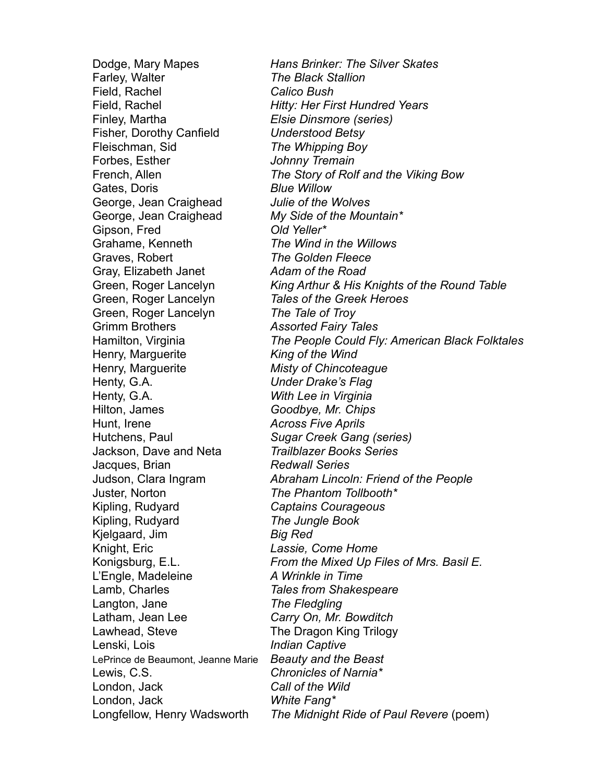Farley, Walter *The Black Stallion* Field, Rachel *Calico Bush* Finley, Martha *Elsie Dinsmore (series)* Fisher, Dorothy Canfield *Understood Betsy* Fleischman, Sid *The Whipping Boy* Forbes, Esther *Johnny Tremain* Gates, Doris *Blue Willow* George, Jean Craighead *Julie of the Wolves* George, Jean Craighead *My Side of the Mountain\** Gipson, Fred *Old Yeller\** Grahame, Kenneth *The Wind in the Willows* Graves, Robert *The Golden Fleece* Gray, Elizabeth Janet *Adam of the Road* Green, Roger Lancelyn *Tales of the Greek Heroes* Green, Roger Lancelyn *The Tale of Troy* Grimm Brothers *Assorted Fairy Tales* Henry, Marguerite *King of the Wind* Henry, Marguerite *Misty of Chincoteague* Henty, G.A. *Under Drake's Flag* Henty, G.A. *With Lee in Virginia* Hilton, James *Goodbye, Mr. Chips* Hunt, Irene *Across Five Aprils* Hutchens, Paul *Sugar Creek Gang (series)* Jackson, Dave and Neta *Trailblazer Books Series* Jacques, Brian *Redwall Series* Juster, Norton *The Phantom Tollbooth\** Kipling, Rudyard *Captains Courageous* Kipling, Rudyard *The Jungle Book* Kjelgaard, Jim *Big Red* Knight, Eric *Lassie, Come Home* L'Engle, Madeleine *A Wrinkle in Time* Lamb, Charles *Tales from Shakespeare* Langton, Jane *The Fledgling* Latham, Jean Lee *Carry On, Mr. Bowditch* Lawhead, Steve The Dragon King Trilogy Lenski, Lois *Indian Captive* LePrince de Beaumont, Jeanne Marie *Beauty and the Beast* Lewis, C.S. *Chronicles of Narnia\** London, Jack *Call of the Wild* London, Jack *White Fang\**

Dodge, Mary Mapes *Hans Brinker: The Silver Skates* Field, Rachel *Hitty: Her First Hundred Years* French, Allen *The Story of Rolf and the Viking Bow* Green, Roger Lancelyn *King Arthur & His Knights of the Round Table* Hamilton, Virginia *The People Could Fly: American Black Folktales* Judson, Clara Ingram *Abraham Lincoln: Friend of the People* Konigsburg, E.L. *From the Mixed Up Files of Mrs. Basil E.* Longfellow, Henry Wadsworth *The Midnight Ride of Paul Revere* (poem)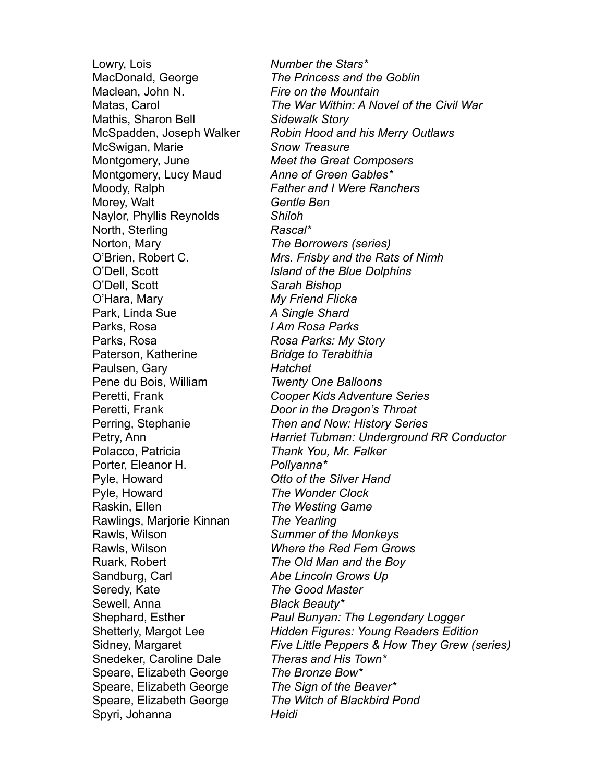Lowry, Lois *Number the Stars\** MacDonald, George *The Princess and the Goblin* Maclean, John N. *Fire on the Mountain* Mathis, Sharon Bell *Sidewalk Story* McSwigan, Marie *Snow Treasure* Montgomery, June *Meet the Great Composers* Montgomery, Lucy Maud *Anne of Green Gables\** Moody, Ralph *Father and I Were Ranchers* Morey, Walt *Gentle Ben* Naylor, Phyllis Reynolds *Shiloh* North, Sterling *Rascal\** Norton, Mary *The Borrowers (series)* O'Dell, Scott *Island of the Blue Dolphins* O'Dell, Scott *Sarah Bishop* O'Hara, Mary *My Friend Flicka* Park, Linda Sue *A Single Shard* Parks, Rosa *I Am Rosa Parks* Parks, Rosa *Rosa Parks: My Story* Paterson, Katherine *Bridge to Terabithia* Paulsen, Gary *Hatchet* Pene du Bois, William *Twenty One Balloons* Peretti, Frank *Door in the Dragon's Throat* Polacco, Patricia *Thank You, Mr. Falker* Porter, Eleanor H. *Pollyanna\** Pyle, Howard *Otto of the Silver Hand* Pyle, Howard *The Wonder Clock* Raskin, Ellen *The Westing Game* Rawlings, Marjorie Kinnan *The Yearling* Rawls, Wilson *Summer of the Monkeys* Rawls, Wilson *Where the Red Fern Grows* Ruark, Robert *The Old Man and the Boy* Sandburg, Carl *Abe Lincoln Grows Up* Seredy, Kate *The Good Master* Sewell, Anna *Black Beauty\** Snedeker, Caroline Dale *Theras and His Town\** Speare, Elizabeth George *The Bronze Bow\** Speare, Elizabeth George *The Sign of the Beaver\** Spyri, Johanna *Heidi*

Matas, Carol *The War Within: A Novel of the Civil War* McSpadden, Joseph Walker *Robin Hood and his Merry Outlaws* O'Brien, Robert C. *Mrs. Frisby and the Rats of Nimh* Peretti, Frank *Cooper Kids Adventure Series* Perring, Stephanie *Then and Now: History Series* Petry, Ann *Harriet Tubman: Underground RR Conductor* Shephard, Esther *Paul Bunyan: The Legendary Logger* Shetterly, Margot Lee *Hidden Figures: Young Readers Edition* Sidney, Margaret *Five Little Peppers & How They Grew (series)* Speare, Elizabeth George *The Witch of Blackbird Pond*